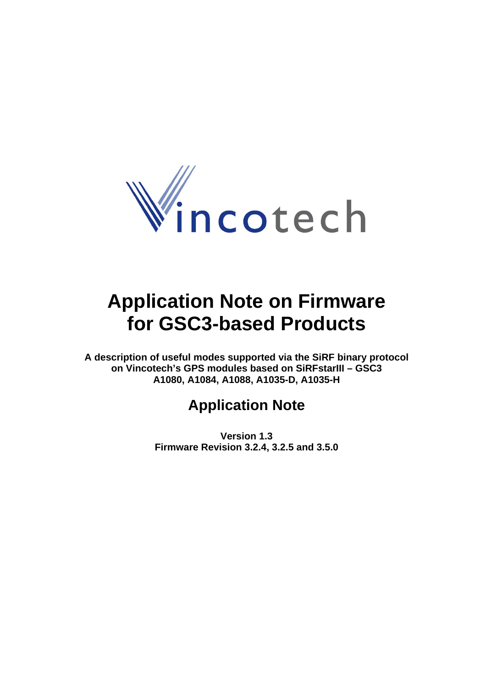

# **Application Note on Firmware for GSC3-based Products**

**A description of useful modes supported via the SiRF binary protocol on Vincotech's GPS modules based on SiRFstarIII – GSC3 A1080, A1084, A1088, A1035-D, A1035-H** 

# **Application Note**

**Version 1.3 Firmware Revision 3.2.4, 3.2.5 and 3.5.0**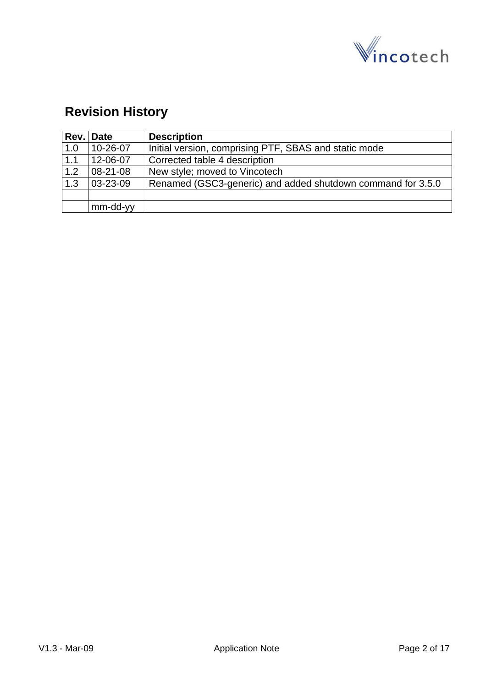

# **Revision History**

| Rev. | <b>Date</b> | <b>Description</b>                                          |
|------|-------------|-------------------------------------------------------------|
| 1.0  | 10-26-07    | Initial version, comprising PTF, SBAS and static mode       |
| 1.1  | 12-06-07    | Corrected table 4 description                               |
| 1.2  | 08-21-08    | New style; moved to Vincotech                               |
| 1.3  | 03-23-09    | Renamed (GSC3-generic) and added shutdown command for 3.5.0 |
|      |             |                                                             |
|      | mm-dd-yy    |                                                             |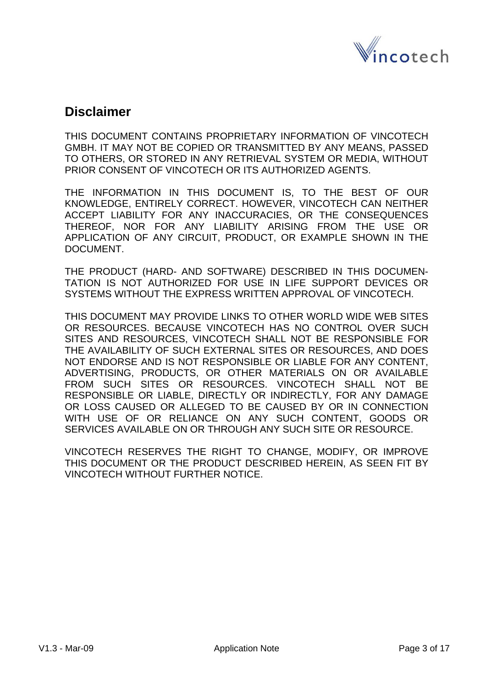

### **Disclaimer**

THIS DOCUMENT CONTAINS PROPRIETARY INFORMATION OF VINCOTECH GMBH. IT MAY NOT BE COPIED OR TRANSMITTED BY ANY MEANS, PASSED TO OTHERS, OR STORED IN ANY RETRIEVAL SYSTEM OR MEDIA, WITHOUT PRIOR CONSENT OF VINCOTECH OR ITS AUTHORIZED AGENTS.

THE INFORMATION IN THIS DOCUMENT IS, TO THE BEST OF OUR KNOWLEDGE, ENTIRELY CORRECT. HOWEVER, VINCOTECH CAN NEITHER ACCEPT LIABILITY FOR ANY INACCURACIES, OR THE CONSEQUENCES THEREOF, NOR FOR ANY LIABILITY ARISING FROM THE USE OR APPLICATION OF ANY CIRCUIT, PRODUCT, OR EXAMPLE SHOWN IN THE DOCUMENT.

THE PRODUCT (HARD- AND SOFTWARE) DESCRIBED IN THIS DOCUMEN-TATION IS NOT AUTHORIZED FOR USE IN LIFE SUPPORT DEVICES OR SYSTEMS WITHOUT THE EXPRESS WRITTEN APPROVAL OF VINCOTECH.

THIS DOCUMENT MAY PROVIDE LINKS TO OTHER WORLD WIDE WEB SITES OR RESOURCES. BECAUSE VINCOTECH HAS NO CONTROL OVER SUCH SITES AND RESOURCES, VINCOTECH SHALL NOT BE RESPONSIBLE FOR THE AVAILABILITY OF SUCH EXTERNAL SITES OR RESOURCES, AND DOES NOT ENDORSE AND IS NOT RESPONSIBLE OR LIABLE FOR ANY CONTENT, ADVERTISING, PRODUCTS, OR OTHER MATERIALS ON OR AVAILABLE FROM SUCH SITES OR RESOURCES. VINCOTECH SHALL NOT BE RESPONSIBLE OR LIABLE, DIRECTLY OR INDIRECTLY, FOR ANY DAMAGE OR LOSS CAUSED OR ALLEGED TO BE CAUSED BY OR IN CONNECTION WITH USE OF OR RELIANCE ON ANY SUCH CONTENT, GOODS OR SERVICES AVAILABLE ON OR THROUGH ANY SUCH SITE OR RESOURCE.

VINCOTECH RESERVES THE RIGHT TO CHANGE, MODIFY, OR IMPROVE THIS DOCUMENT OR THE PRODUCT DESCRIBED HEREIN, AS SEEN FIT BY VINCOTECH WITHOUT FURTHER NOTICE.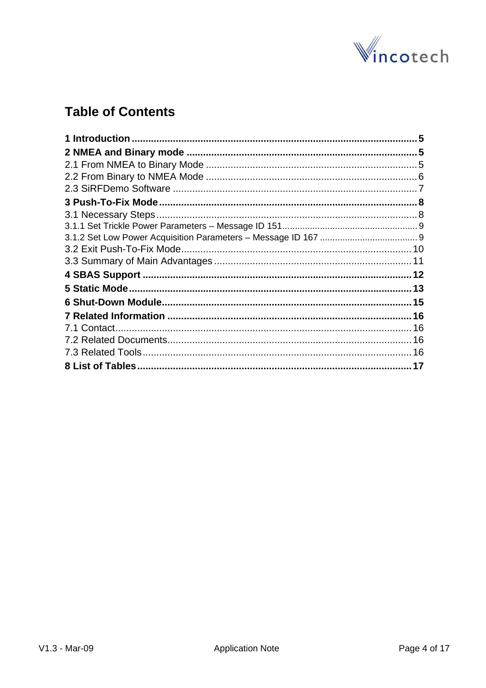

# **Table of Contents**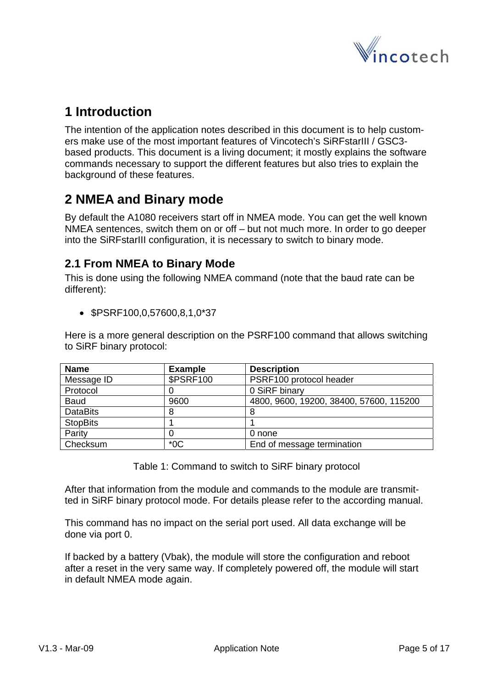

# <span id="page-4-0"></span>**1 Introduction**

The intention of the application notes described in this document is to help customers make use of the most important features of Vincotech's SiRFstarIII / GSC3 based products. This document is a living document; it mostly explains the software commands necessary to support the different features but also tries to explain the background of these features.

# **2 NMEA and Binary mode**

By default the A1080 receivers start off in NMEA mode. You can get the well known NMEA sentences, switch them on or off – but not much more. In order to go deeper into the SiRFstarIII configuration, it is necessary to switch to binary mode.

### **2.1 From NMEA to Binary Mode**

This is done using the following NMEA command (note that the baud rate can be different):

• \$PSRF100,0,57600,8,1,0\*37

Here is a more general description on the PSRF100 command that allows switching to SiRF binary protocol:

| <b>Name</b>     | <b>Example</b>   | <b>Description</b>                      |
|-----------------|------------------|-----------------------------------------|
| Message ID      | <b>\$PSRF100</b> | PSRF100 protocol header                 |
| Protocol        |                  | 0 SiRF binary                           |
| <b>Baud</b>     | 9600             | 4800, 9600, 19200, 38400, 57600, 115200 |
| <b>DataBits</b> |                  | 8                                       |
| <b>StopBits</b> |                  |                                         |
| Parity          |                  | 0 none                                  |
| Checksum        | $*$ 0 $\sim$     | End of message termination              |

Table 1: Command to switch to SiRF binary protocol

After that information from the module and commands to the module are transmitted in SiRF binary protocol mode. For details please refer to the according manual.

This command has no impact on the serial port used. All data exchange will be done via port 0.

If backed by a battery (Vbak), the module will store the configuration and reboot after a reset in the very same way. If completely powered off, the module will start in default NMEA mode again.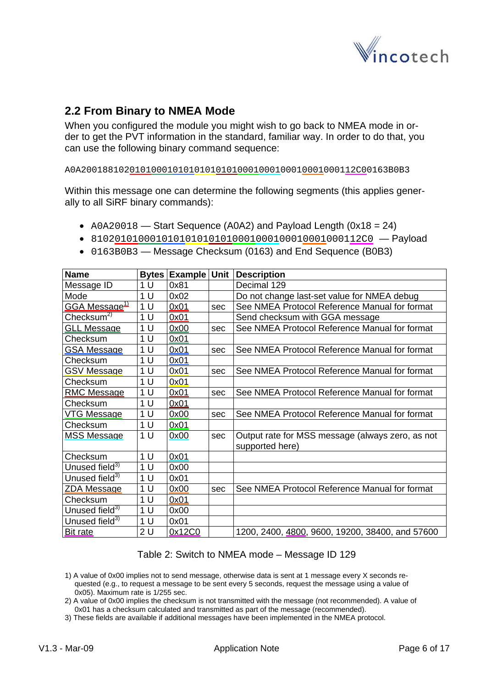

### <span id="page-5-0"></span>**2.2 From Binary to NMEA Mode**

When you configured the module you might wish to go back to NMEA mode in order to get the PVT information in the standard, familiar way. In order to do that, you can use the following binary command sequence:

A0A200188102010100010101010101010001000100010001000112C00163B0B3

Within this message one can determine the following segments (this applies generally to all SiRF binary commands):

- A0A20018 Start Sequence (A0A2) and Payload Length (0x18 = 24)
- 8102010100010101010101010001000100010001000112C0 Payload
- **Name Bytes Example Unit Description**  Message ID  $\vert$  1 U  $\vert$  0x81  $\vert$  Decimal 129 Mode 1 U  $\vert$  0x02 | Do not change last-set value for NMEA debug  $GGA Message<sup>11</sup>$  | 1 U |  $QX01$  | sec | See NMEA Protocol Reference Manual for format  $\frac{C \text{hecksum}^2}{1 \text{U}}$  0x01 Send checksum with GGA message GLL Message | 1 U | 0x00 | sec | See NMEA Protocol Reference Manual for format Checksum  $|1 U |0x01$  $GSA$  Message  $\begin{vmatrix} 1 & \frac{1}{2} & \frac{1}{2} \\ 0 & \frac{1}{2} & \frac{1}{2} \\ 0 & \frac{1}{2} & \frac{1}{2} \\ 0 & \frac{1}{2} & \frac{1}{2} \\ 0 & \frac{1}{2} & \frac{1}{2} \\ 0 & \frac{1}{2} & \frac{1}{2} \\ 0 & \frac{1}{2} & \frac{1}{2} \\ 0 & \frac{1}{2} & \frac{1}{2} \\ 0 & \frac{1}{2} & \frac{1}{2} \\ 0 & \frac{1}{2} & \frac{1}{2} \\ 0 & \frac{1}{2} &$ Checksum | 1 U | 0x01 GSV Message | 1 U | 0x01 | sec | See NMEA Protocol Reference Manual for format  $Checksum$   $1 U$   $0x01$ <u>RMC Message</u>  $|1 \cup |0x01|$  sec See NMEA Protocol Reference Manual for format Checksum 1 U 0x01 <u>VTG Message</u>  $|1 U | 0x00$  sec See NMEA Protocol Reference Manual for format Checksum 1 U 0x01<br>MSS Message 1 U 0x00 0x00 sec Output rate for MSS message (always zero, as not supported here) Checksum  $|1 U | 0x01$ Unused field<sup>3)</sup>  $\vert$  1 U  $\vert$  0x00 Unused field<sup>3)</sup> 1 U  $\sqrt{0 \times 01}$  $ZDA$  Message  $\overline{\phantom{a}}$  | 1 U  $\overline{\phantom{a}}$  | 0x00  $\overline{\phantom{a}}$  | sec  $\overline{\phantom{a}}$  See NMEA Protocol Reference Manual for format Checksum | 1 U | 0x01 Unused field $3$  | 1 U | 0x00 Unused field<sup>3)</sup>  $10$  U  $0x01$ Bit rate 2 U  $\sqrt{2 \text{U}}$  0x12C0 1200, 2400, 4800, 9600, 19200, 38400, and 57600
- 0163B0B3 Message Checksum (0163) and End Sequence (B0B3)

#### Table 2: Switch to NMEA mode – Message ID 129

- 1) A value of 0x00 implies not to send message, otherwise data is sent at 1 message every X seconds requested (e.g., to request a message to be sent every 5 seconds, request the message using a value of 0x05). Maximum rate is 1/255 sec.
- 2) A value of 0x00 implies the checksum is not transmitted with the message (not recommended). A value of 0x01 has a checksum calculated and transmitted as part of the message (recommended).
- 3) These fields are available if additional messages have been implemented in the NMEA protocol.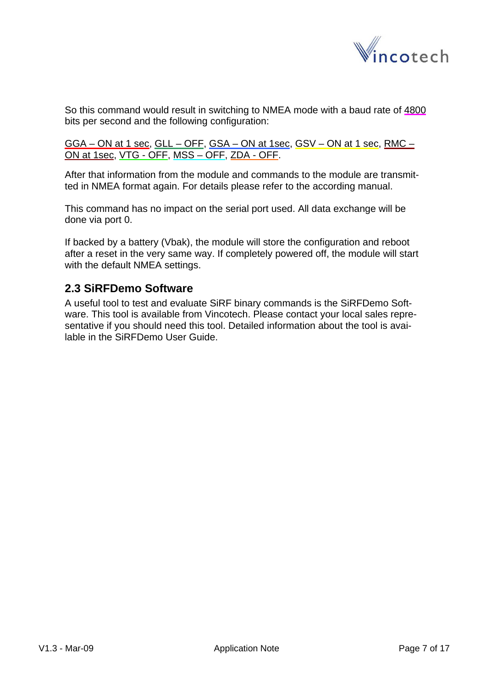

<span id="page-6-0"></span>So this command would result in switching to NMEA mode with a baud rate of 4800 bits per second and the following configuration:

GGA – ON at 1 sec, GLL – OFF, GSA – ON at 1sec, GSV – ON at 1 sec, RMC – ON at 1sec, VTG - OFF, MSS – OFF, ZDA - OFF.

After that information from the module and commands to the module are transmitted in NMEA format again. For details please refer to the according manual.

This command has no impact on the serial port used. All data exchange will be done via port 0.

If backed by a battery (Vbak), the module will store the configuration and reboot after a reset in the very same way. If completely powered off, the module will start with the default NMEA settings.

### **2.3 SiRFDemo Software**

A useful tool to test and evaluate SiRF binary commands is the SiRFDemo Software. This tool is available from Vincotech. Please contact your local sales representative if you should need this tool. Detailed information about the tool is available in the SiRFDemo User Guide.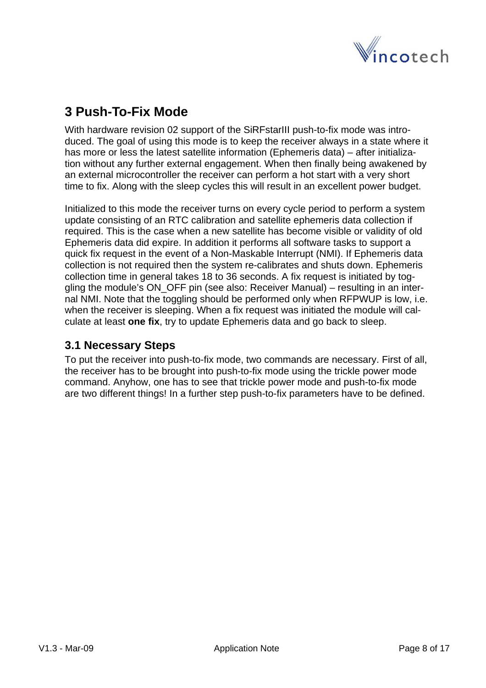

# <span id="page-7-0"></span>**3 Push-To-Fix Mode**

With hardware revision 02 support of the SiRFstarIII push-to-fix mode was introduced. The goal of using this mode is to keep the receiver always in a state where it has more or less the latest satellite information (Ephemeris data) – after initialization without any further external engagement. When then finally being awakened by an external microcontroller the receiver can perform a hot start with a very short time to fix. Along with the sleep cycles this will result in an excellent power budget.

Initialized to this mode the receiver turns on every cycle period to perform a system update consisting of an RTC calibration and satellite ephemeris data collection if required. This is the case when a new satellite has become visible or validity of old Ephemeris data did expire. In addition it performs all software tasks to support a quick fix request in the event of a Non-Maskable Interrupt (NMI). If Ephemeris data collection is not required then the system re-calibrates and shuts down. Ephemeris collection time in general takes 18 to 36 seconds. A fix request is initiated by toggling the module's ON\_OFF pin (see also: Receiver Manual) – resulting in an internal NMI. Note that the toggling should be performed only when RFPWUP is low, i.e. when the receiver is sleeping. When a fix request was initiated the module will calculate at least **one fix**, try to update Ephemeris data and go back to sleep.

### **3.1 Necessary Steps**

To put the receiver into push-to-fix mode, two commands are necessary. First of all, the receiver has to be brought into push-to-fix mode using the trickle power mode command. Anyhow, one has to see that trickle power mode and push-to-fix mode are two different things! In a further step push-to-fix parameters have to be defined.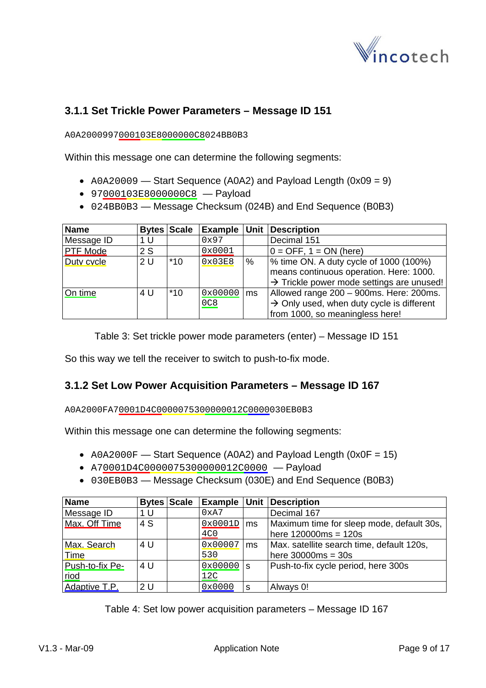

### <span id="page-8-0"></span>**3.1.1 Set Trickle Power Parameters – Message ID 151**

A0A2000997000103E8000000C8024BB0B3

Within this message one can determine the following segments:

- A0A20009 Start Sequence (A0A2) and Payload Length (0x09 = 9)
- 97000103E8000000C8 Payload
- 024BB0B3 Message Checksum (024B) and End Sequence (B0B3)

| <b>Name</b>     |     | <b>Bytes Scale</b> |                |      | <b>Example Unit Description</b>                                                                                                                        |
|-----------------|-----|--------------------|----------------|------|--------------------------------------------------------------------------------------------------------------------------------------------------------|
| Message ID      | 1 U |                    | 0x97           |      | Decimal 151                                                                                                                                            |
| <b>PTF Mode</b> | 2S  |                    | 0x0001         |      | $0 =$ OFF, 1 = ON (here)                                                                                                                               |
| Duty cycle      | 2U  | $*10$              | 0x03E8         | $\%$ | $\frac{1}{6}$ time ON. A duty cycle of 1000 (100%)<br>means continuous operation. Here: 1000.<br>$\rightarrow$ Trickle power mode settings are unused! |
| On time         | 4 U | $*10$              | 0x00000<br>0C8 | ms   | Allowed range 200 - 900ms. Here: 200ms.<br>$\rightarrow$ Only used, when duty cycle is different<br>from 1000, so meaningless here!                    |

Table 3: Set trickle power mode parameters (enter) – Message ID 151

So this way we tell the receiver to switch to push-to-fix mode.

#### **3.1.2 Set Low Power Acquisition Parameters – Message ID 167**

A0A2000FA70001D4C0000075300000012C0000030EB0B3

Within this message one can determine the following segments:

- A0A2000F Start Sequence (A0A2) and Payload Length (0x0F = 15)
- A70001D4C0000075300000012C0000 Payload
- 030EB0B3 Message Checksum (030E) and End Sequence (B0B3)

| <b>Name</b>     | <b>Bytes Scale</b> |                 |     | <b>Example Unit Description</b>           |
|-----------------|--------------------|-----------------|-----|-------------------------------------------|
| Message ID      | 1 U                | 0xA7            |     | Decimal 167                               |
| Max. Off Time   | 4 S                | 0x0001D         | Ims | Maximum time for sleep mode, default 30s, |
|                 |                    | 4C <sub>0</sub> |     | $here 120000ms = 120s$                    |
| Max. Search     | 4 U                | 0x00007         | ms  | Max. satellite search time, default 120s, |
| Time            |                    | 530             |     | here $30000ms = 30s$                      |
| Push-to-fix Pe- | 4 U                | $0x00000$ s     |     | Push-to-fix cycle period, here 300s       |
| riod            |                    | 12C             |     |                                           |
| Adaptive T.P.   | 2U                 | 0x0000          | S   | Always 0!                                 |

Table 4: Set low power acquisition parameters – Message ID 167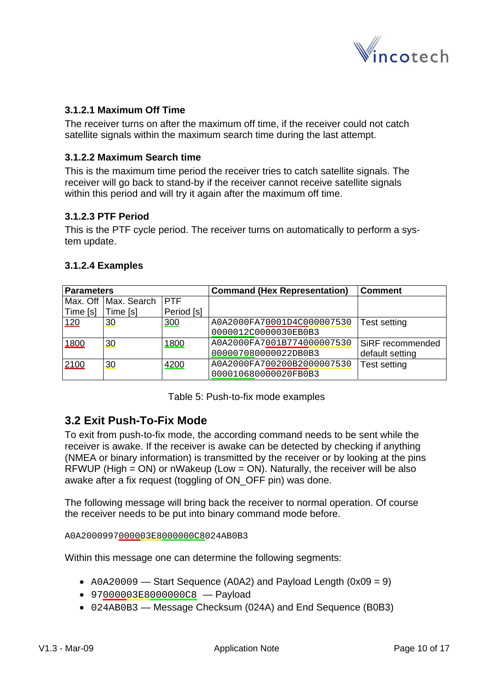

#### <span id="page-9-0"></span>**3.1.2.1 Maximum Off Time**

The receiver turns on after the maximum off time, if the receiver could not catch satellite signals within the maximum search time during the last attempt.

#### **3.1.2.2 Maximum Search time**

This is the maximum time period the receiver tries to catch satellite signals. The receiver will go back to stand-by if the receiver cannot receive satellite signals within this period and will try it again after the maximum off time.

#### **3.1.2.3 PTF Period**

This is the PTF cycle period. The receiver turns on automatically to perform a system update.

|  | 3.1.2.4 Examples |  |
|--|------------------|--|
|  |                  |  |

| <b>Parameters</b> |             |             | <b>Command (Hex Representation)</b> | <b>Comment</b>   |
|-------------------|-------------|-------------|-------------------------------------|------------------|
| Max. Off          | Max. Search | <b>IPTF</b> |                                     |                  |
| Time [s]          | Time [s]    | Period [s]  |                                     |                  |
| 120               | 30          | 300         | A0A2000FA70001D4C000007530          | Test setting     |
|                   |             |             | 0000012C0000030EB0B3                |                  |
| 1800              | 30          | 1800        | A0A2000FA7001B774000007530          | SiRF recommended |
|                   |             |             | 000007080000022DB0B3                | default setting  |
| 2100              | 30          | 4200        | A0A2000FA700200B2000007530          | Test setting     |
|                   |             |             | 000010680000020FB0B3                |                  |

Table 5: Push-to-fix mode examples

### **3.2 Exit Push-To-Fix Mode**

To exit from push-to-fix mode, the according command needs to be sent while the receiver is awake. If the receiver is awake can be detected by checking if anything (NMEA or binary information) is transmitted by the receiver or by looking at the pins RFWUP (High = ON) or nWakeup (Low = ON). Naturally, the receiver will be also awake after a fix request (toggling of ON OFF pin) was done.

The following message will bring back the receiver to normal operation. Of course the receiver needs to be put into binary command mode before.

A0A2000997000003E8000000C8024AB0B3

Within this message one can determine the following segments:

- $A0A20009$  Start Sequence (A0A2) and Payload Length (0x09 = 9)
- 97000003E8000000C8 Payload
- 024AB0B3 Message Checksum (024A) and End Sequence (B0B3)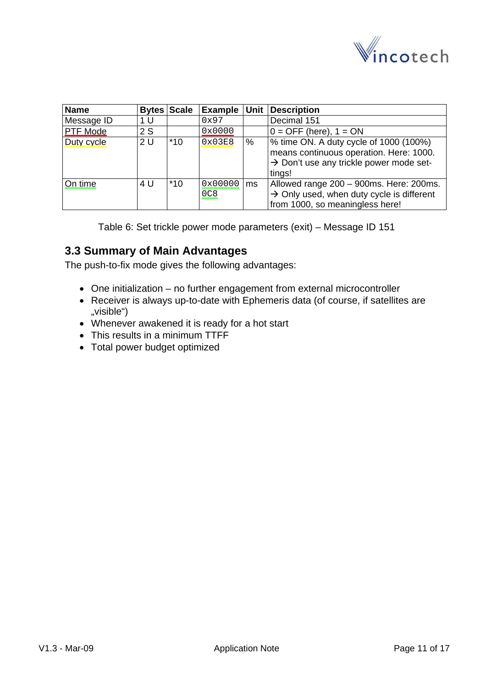

<span id="page-10-0"></span>

| <b>Name</b>     |     | <b>Bytes Scale</b> |                |    | <b>Example Unit Description</b>                                                                                                                    |
|-----------------|-----|--------------------|----------------|----|----------------------------------------------------------------------------------------------------------------------------------------------------|
| Message ID      | 1 U |                    | 0x97           |    | Decimal 151                                                                                                                                        |
| <b>PTF Mode</b> | 2S  |                    | 0x0000         |    | $0 =$ OFF (here), $1 =$ ON                                                                                                                         |
| Duty cycle      | 2U  | $*10$              | 0x03E8         | %  | % time ON. A duty cycle of 1000 (100%)<br>means continuous operation. Here: 1000.<br>$\rightarrow$ Don't use any trickle power mode set-<br>tings! |
| On time         | 4 U | $*10$              | 0x00000<br>0C8 | ms | Allowed range 200 - 900ms. Here: 200ms.<br>$\rightarrow$ Only used, when duty cycle is different<br>from 1000, so meaningless here!                |

Table 6: Set trickle power mode parameters (exit) – Message ID 151

### **3.3 Summary of Main Advantages**

The push-to-fix mode gives the following advantages:

- One initialization no further engagement from external microcontroller
- Receiver is always up-to-date with Ephemeris data (of course, if satellites are "visible")
- Whenever awakened it is ready for a hot start
- This results in a minimum TTFF
- Total power budget optimized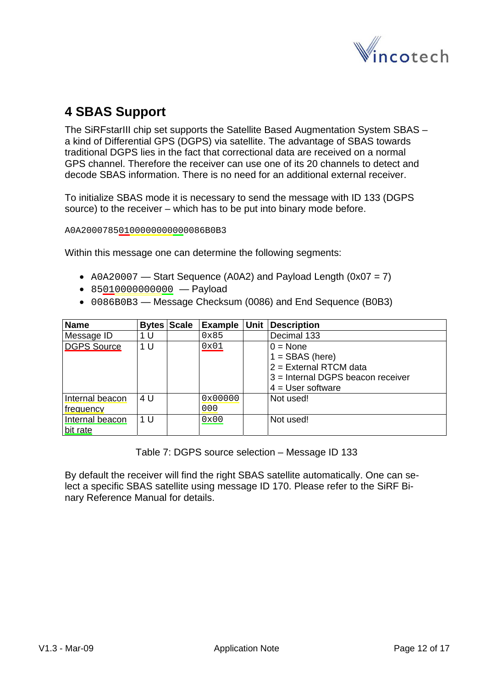

# <span id="page-11-0"></span>**4 SBAS Support**

The SiRFstarIII chip set supports the Satellite Based Augmentation System SBAS – a kind of Differential GPS (DGPS) via satellite. The advantage of SBAS towards traditional DGPS lies in the fact that correctional data are received on a normal GPS channel. Therefore the receiver can use one of its 20 channels to detect and decode SBAS information. There is no need for an additional external receiver.

To initialize SBAS mode it is necessary to send the message with ID 133 (DGPS source) to the receiver – which has to be put into binary mode before.

A0A20007850100000000000086B0B3

Within this message one can determine the following segments:

- A0A20007 Start Sequence (A0A2) and Payload Length (0x07 = 7)
- 85010000000000 Payload
- 0086B0B3 Message Checksum (0086) and End Sequence (B0B3)

| <b>Name</b>        |     | <b>Bytes Scale</b> | Example Unit | <b>Description</b>                  |
|--------------------|-----|--------------------|--------------|-------------------------------------|
| Message ID         | 1 U |                    | 0x85         | Decimal 133                         |
| <b>DGPS Source</b> | 1 U |                    | 0x01         | $0 = \text{None}$                   |
|                    |     |                    |              | $1 =$ SBAS (here)                   |
|                    |     |                    |              | 2 = External RTCM data              |
|                    |     |                    |              | $3$ = Internal DGPS beacon receiver |
|                    |     |                    |              | $4 = User software$                 |
| Internal beacon    | 4 U |                    | 0x00000      | Not used!                           |
| frequency          |     |                    | 000          |                                     |
| Internal beacon    | 1 U |                    | 0x00         | Not used!                           |
| bit rate           |     |                    |              |                                     |

Table 7: DGPS source selection – Message ID 133

By default the receiver will find the right SBAS satellite automatically. One can select a specific SBAS satellite using message ID 170. Please refer to the SiRF Binary Reference Manual for details.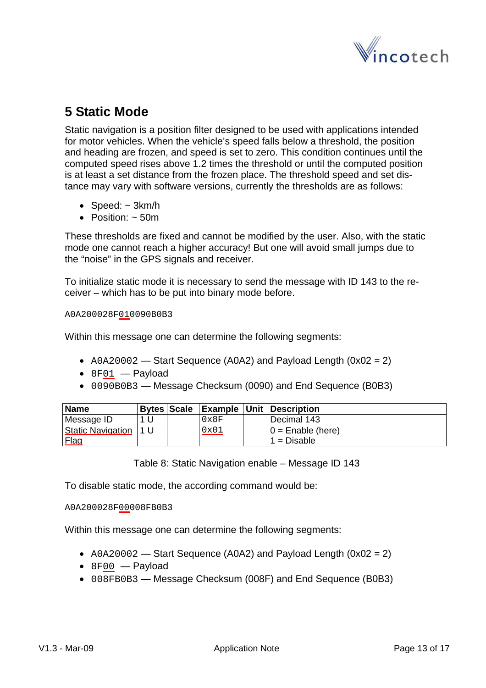

# <span id="page-12-0"></span>**5 Static Mode**

Static navigation is a position filter designed to be used with applications intended for motor vehicles. When the vehicle's speed falls below a threshold, the position and heading are frozen, and speed is set to zero. This condition continues until the computed speed rises above 1.2 times the threshold or until the computed position is at least a set distance from the frozen place. The threshold speed and set distance may vary with software versions, currently the thresholds are as follows:

- Speed:  $\sim$  3km/h
- Position:  $\sim$  50m

These thresholds are fixed and cannot be modified by the user. Also, with the static mode one cannot reach a higher accuracy! But one will avoid small jumps due to the "noise" in the GPS signals and receiver.

To initialize static mode it is necessary to send the message with ID 143 to the receiver – which has to be put into binary mode before.

#### A0A200028F010090B0B3

Within this message one can determine the following segments:

- $A0A20002$  Start Sequence (A0A2) and Payload Length (0x02 = 2)
- $•$  8F01  $-$  Payload
- 0090B0B3 Message Checksum (0090) and End Sequence (B0B3)

| <b>Name</b>              |         | <b>Bytes Scale</b> |               | <b>Example Unit Description</b> |
|--------------------------|---------|--------------------|---------------|---------------------------------|
| Message ID               |         |                    | $0 \times 8F$ | l Decimal 143                   |
| <b>Static Navigation</b> | l 1 I J |                    | 0x01          | $0 =$ Enable (here)             |
| Flag                     |         |                    |               | l 1 = Disable                   |

Table 8: Static Navigation enable – Message ID 143

To disable static mode, the according command would be:

#### A0A200028F00008FB0B3

Within this message one can determine the following segments:

- A0A20002 Start Sequence (A0A2) and Payload Length (0x02 = 2)
- 8F00 Payload
- 008FB0B3 Message Checksum (008F) and End Sequence (B0B3)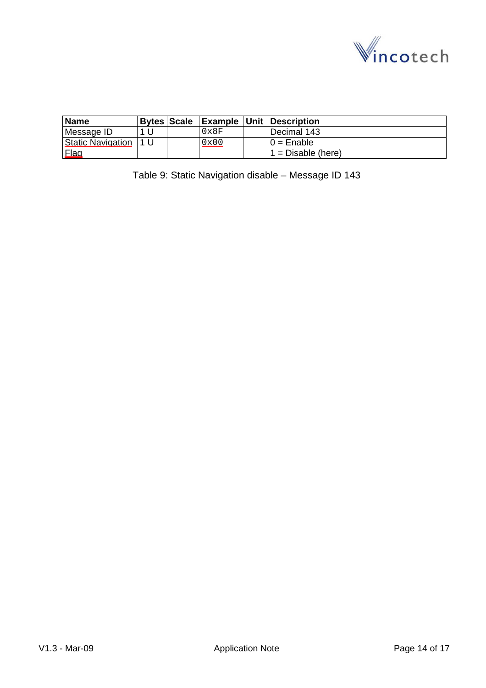

<span id="page-13-0"></span>

| <b>Name</b>              |      |      | Bytes Scale Example Unit Description |
|--------------------------|------|------|--------------------------------------|
| Message ID               |      | 0x8F | l Decimal 143                        |
| <b>Static Navigation</b> | 11 U | 0x00 | $10 =$ Enable                        |
| <b>Flag</b>              |      |      | $1 = Disable$ (here)                 |

Table 9: Static Navigation disable – Message ID 143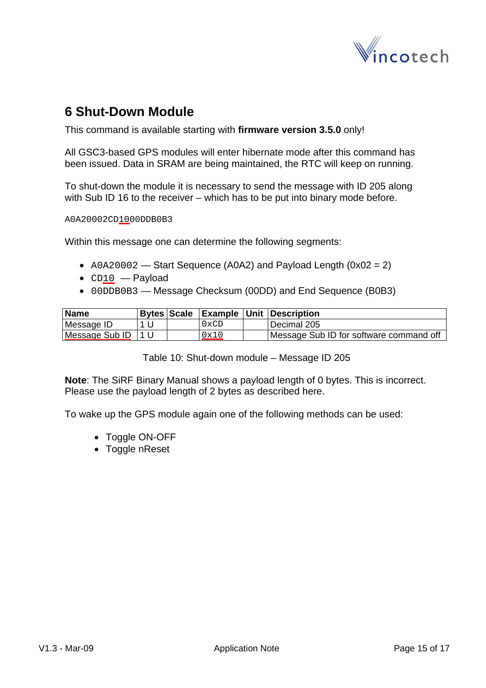

### <span id="page-14-0"></span>**6 Shut-Down Module**

This command is available starting with **firmware version 3.5.0** only!

All GSC3-based GPS modules will enter hibernate mode after this command has been issued. Data in SRAM are being maintained, the RTC will keep on running.

To shut-down the module it is necessary to send the message with ID 205 along with Sub ID 16 to the receiver – which has to be put into binary mode before.

A0A20002CD1000DDB0B3

Within this message one can determine the following segments:

- A0A20002 Start Sequence (A0A2) and Payload Length (0x02 = 2)
- CD10 Payload
- 00DDB0B3 Message Checksum (00DD) and End Sequence (B0B3)

| Name           |     |                  | Bytes Scale   Example   Unit   Description |
|----------------|-----|------------------|--------------------------------------------|
| Message ID     |     | $0 \mathrm{xCD}$ | Decimal 205                                |
| Message Sub ID | 1 U | 0x10             | Message Sub ID for software command off    |

Table 10: Shut-down module – Message ID 205

**Note**: The SiRF Binary Manual shows a payload length of 0 bytes. This is incorrect. Please use the payload length of 2 bytes as described here.

To wake up the GPS module again one of the following methods can be used:

- Toggle ON-OFF
- Toggle nReset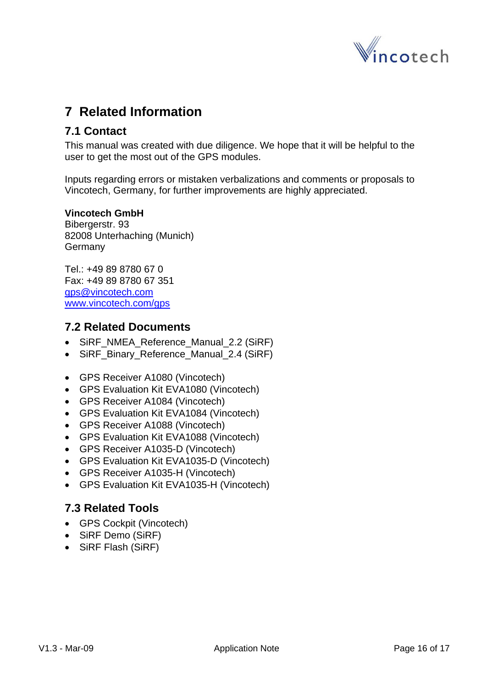

## <span id="page-15-0"></span>**7 Related Information**

### **7.1 Contact**

This manual was created with due diligence. We hope that it will be helpful to the user to get the most out of the GPS modules.

Inputs regarding errors or mistaken verbalizations and comments or proposals to Vincotech, Germany, for further improvements are highly appreciated.

#### **Vincotech GmbH**

Bibergerstr. 93 82008 Unterhaching (Munich) **Germany** 

Tel.: +49 89 8780 67 0 Fax: +49 89 8780 67 351 [gps@vincotech.com](mailto:gps@vincotech.com?subject=General%20request) [www.vincotech.com/gps](http://www.vincotech.com/gps)

#### **7.2 Related Documents**

- SiRF\_NMEA\_Reference\_Manual\_2.2 (SiRF)
- SiRF\_Binary\_Reference\_Manual\_2.4 (SiRF)
- GPS Receiver A1080 (Vincotech)
- GPS Evaluation Kit EVA1080 (Vincotech)
- GPS Receiver A1084 (Vincotech)
- GPS Evaluation Kit EVA1084 (Vincotech)
- GPS Receiver A1088 (Vincotech)
- GPS Evaluation Kit EVA1088 (Vincotech)
- GPS Receiver A1035-D (Vincotech)
- GPS Evaluation Kit EVA1035-D (Vincotech)
- GPS Receiver A1035-H (Vincotech)
- GPS Evaluation Kit EVA1035-H (Vincotech)

### **7.3 Related Tools**

- GPS Cockpit (Vincotech)
- SiRF Demo (SiRF)
- SiRF Flash (SiRF)